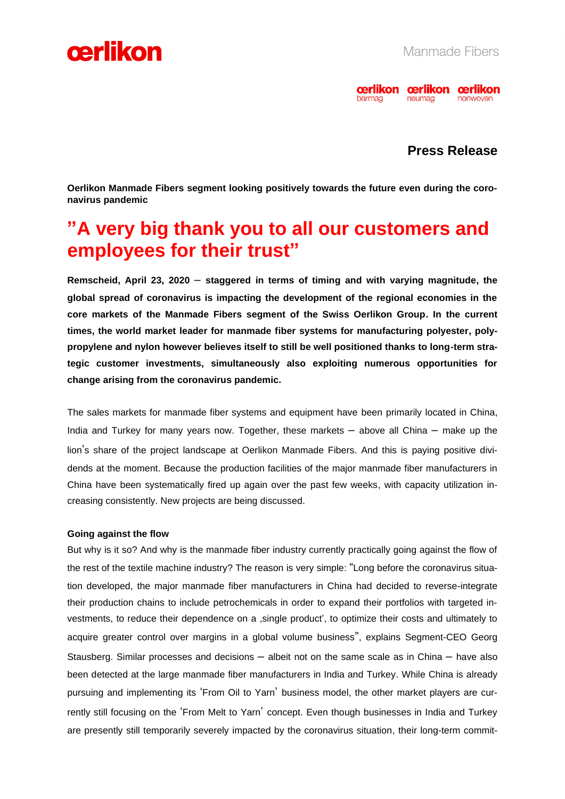



## **Press Release**

**Oerlikon Manmade Fibers segment looking positively towards the future even during the coronavirus pandemic**

# **"A very big thank you to all our customers and employees for their trust"**

**Remscheid, April 23, 2020** – **staggered in terms of timing and with varying magnitude, the global spread of coronavirus is impacting the development of the regional economies in the core markets of the Manmade Fibers segment of the Swiss Oerlikon Group. In the current times, the world market leader for manmade fiber systems for manufacturing polyester, polypropylene and nylon however believes itself to still be well positioned thanks to long-term strategic customer investments, simultaneously also exploiting numerous opportunities for change arising from the coronavirus pandemic.** 

The sales markets for manmade fiber systems and equipment have been primarily located in China, India and Turkey for many years now. Together, these markets – above all China – make up the lion's share of the project landscape at Oerlikon Manmade Fibers. And this is paying positive dividends at the moment. Because the production facilities of the major manmade fiber manufacturers in China have been systematically fired up again over the past few weeks, with capacity utilization increasing consistently. New projects are being discussed.

#### **Going against the flow**

But why is it so? And why is the manmade fiber industry currently practically going against the flow of the rest of the textile machine industry? The reason is very simple: "Long before the coronavirus situation developed, the major manmade fiber manufacturers in China had decided to reverse-integrate their production chains to include petrochemicals in order to expand their portfolios with targeted investments, to reduce their dependence on a ,single product', to optimize their costs and ultimately to acquire greater control over margins in a global volume business", explains Segment-CEO Georg Stausberg. Similar processes and decisions  $-$  albeit not on the same scale as in China  $-$  have also been detected at the large manmade fiber manufacturers in India and Turkey. While China is already pursuing and implementing its 'From Oil to Yarn' business model, the other market players are currently still focusing on the 'From Melt to Yarn' concept. Even though businesses in India and Turkey are presently still temporarily severely impacted by the coronavirus situation, their long-term commit-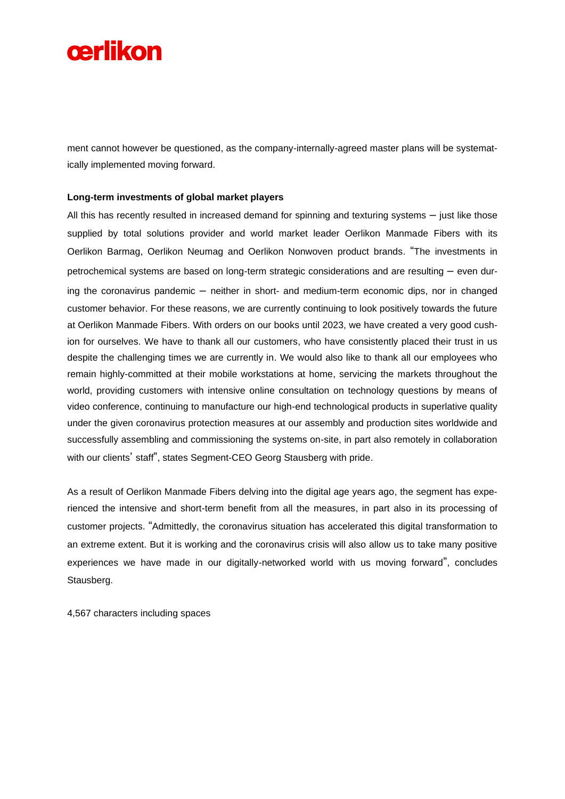

ment cannot however be questioned, as the company-internally-agreed master plans will be systematically implemented moving forward.

#### **Long-term investments of global market players**

All this has recently resulted in increased demand for spinning and texturing systems  $-$  just like those supplied by total solutions provider and world market leader Oerlikon Manmade Fibers with its Oerlikon Barmag, Oerlikon Neumag and Oerlikon Nonwoven product brands. "The investments in petrochemical systems are based on long-term strategic considerations and are resulting – even during the coronavirus pandemic – neither in short- and medium-term economic dips, nor in changed customer behavior. For these reasons, we are currently continuing to look positively towards the future at Oerlikon Manmade Fibers. With orders on our books until 2023, we have created a very good cushion for ourselves. We have to thank all our customers, who have consistently placed their trust in us despite the challenging times we are currently in. We would also like to thank all our employees who remain highly-committed at their mobile workstations at home, servicing the markets throughout the world, providing customers with intensive online consultation on technology questions by means of video conference, continuing to manufacture our high-end technological products in superlative quality under the given coronavirus protection measures at our assembly and production sites worldwide and successfully assembling and commissioning the systems on-site, in part also remotely in collaboration with our clients' staff", states Segment-CEO Georg Stausberg with pride.

As a result of Oerlikon Manmade Fibers delving into the digital age years ago, the segment has experienced the intensive and short-term benefit from all the measures, in part also in its processing of customer projects. "Admittedly, the coronavirus situation has accelerated this digital transformation to an extreme extent. But it is working and the coronavirus crisis will also allow us to take many positive experiences we have made in our digitally-networked world with us moving forward", concludes Stausberg.

4,567 characters including spaces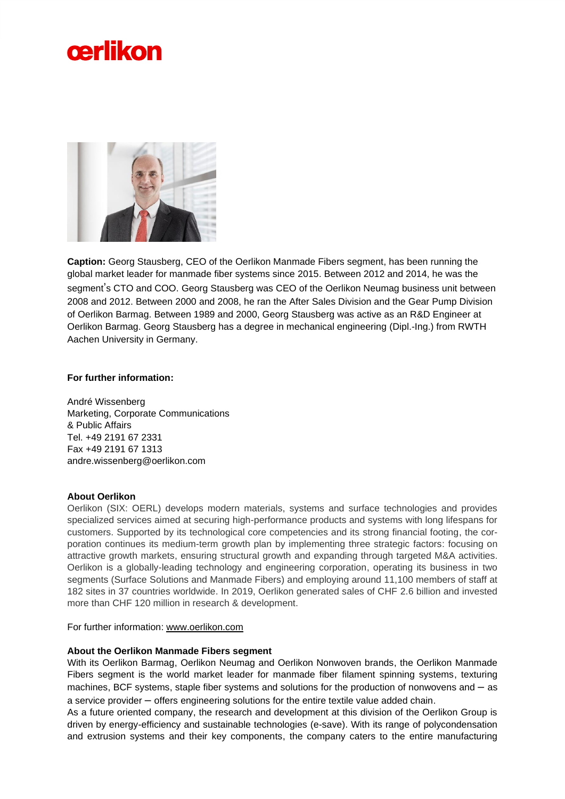



**Caption:** Georg Stausberg, CEO of the Oerlikon Manmade Fibers segment, has been running the global market leader for manmade fiber systems since 2015. Between 2012 and 2014, he was the segment's CTO and COO. Georg Stausberg was CEO of the Oerlikon Neumag business unit between 2008 and 2012. Between 2000 and 2008, he ran the After Sales Division and the Gear Pump Division of Oerlikon Barmag. Between 1989 and 2000, Georg Stausberg was active as an R&D Engineer at Oerlikon Barmag. Georg Stausberg has a degree in mechanical engineering (Dipl.-Ing.) from RWTH Aachen University in Germany.

#### **For further information:**

André Wissenberg Marketing, Corporate Communications & Public Affairs Tel. +49 2191 67 2331 Fax +49 2191 67 1313 andre.wissenberg@oerlikon.com

### **About Oerlikon**

Oerlikon (SIX: OERL) develops modern materials, systems and surface technologies and provides specialized services aimed at securing high-performance products and systems with long lifespans for customers. Supported by its technological core competencies and its strong financial footing, the corporation continues its medium-term growth plan by implementing three strategic factors: focusing on attractive growth markets, ensuring structural growth and expanding through targeted M&A activities. Oerlikon is a globally-leading technology and engineering corporation, operating its business in two segments (Surface Solutions and Manmade Fibers) and employing around 11,100 members of staff at 182 sites in 37 countries worldwide. In 2019, Oerlikon generated sales of CHF 2.6 billion and invested more than CHF 120 million in research & development.

For further information: [www.oerlikon.com](http://www.oerlikon.com/)

#### **About the Oerlikon Manmade Fibers segment**

With its Oerlikon Barmag, Oerlikon Neumag and Oerlikon Nonwoven brands, the Oerlikon Manmade Fibers segment is the world market leader for manmade fiber filament spinning systems, texturing machines, BCF systems, staple fiber systems and solutions for the production of nonwovens and – as a service provider – offers engineering solutions for the entire textile value added chain.

As a future oriented company, the research and development at this division of the Oerlikon Group is driven by energy-efficiency and sustainable technologies (e-save). With its range of polycondensation and extrusion systems and their key components, the company caters to the entire manufacturing